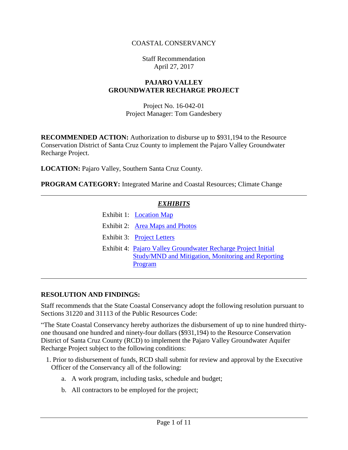#### COASTAL CONSERVANCY

Staff Recommendation April 27, 2017

#### **PAJARO VALLEY GROUNDWATER RECHARGE PROJECT**

Project No. 16-042-01 Project Manager: Tom Gandesbery

**RECOMMENDED ACTION:** Authorization to disburse up to \$931,194 to the Resource Conservation District of Santa Cruz County to implement the Pajaro Valley Groundwater Recharge Project.

**LOCATION:** Pajaro Valley, Southern Santa Cruz County.

**PROGRAM CATEGORY:** Integrated Marine and Coastal Resources; Climate Change

# *EXHIBITS* Exhibit 1: **[Location Map](20170427Board08_Pajaro_Valley_Ex1.pdf)** Exhibit 2: Area Maps [and Photos](20170427Board08_Pajaro_Valley_Ex2.pdf) Exhibit 3: [Project Letters](20170427Board08_Pajaro_Valley_Ex3.pdf) Exhibit 4: [Pajaro Valley Groundwater Recharge Project Initial](20170427Board08_Pajaro_Valley_Ex4.pdf)  [Study/MND and Mitigation, Monitoring and Reporting](20170427Board08_Pajaro_Valley_Ex4.pdf)  [Program](20170427Board08_Pajaro_Valley_Ex4.pdf)

#### **RESOLUTION AND FINDINGS:**

Staff recommends that the State Coastal Conservancy adopt the following resolution pursuant to Sections 31220 and 31113 of the Public Resources Code:

"The State Coastal Conservancy hereby authorizes the disbursement of up to nine hundred thirtyone thousand one hundred and ninety-four dollars (\$931,194) to the Resource Conservation District of Santa Cruz County (RCD) to implement the Pajaro Valley Groundwater Aquifer Recharge Project subject to the following conditions:

- 1. Prior to disbursement of funds, RCD shall submit for review and approval by the Executive Officer of the Conservancy all of the following:
	- a. A work program, including tasks, schedule and budget;
	- b. All contractors to be employed for the project;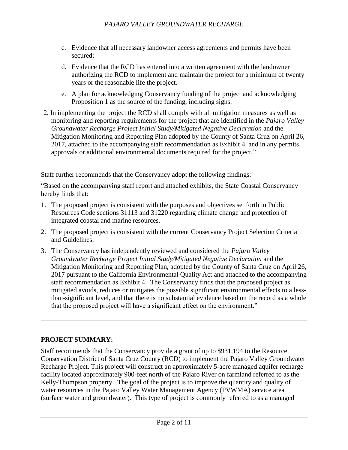- c. Evidence that all necessary landowner access agreements and permits have been secured;
- d. Evidence that the RCD has entered into a written agreement with the landowner authorizing the RCD to implement and maintain the project for a minimum of twenty years or the reasonable life the project.
- e. A plan for acknowledging Conservancy funding of the project and acknowledging Proposition 1 as the source of the funding, including signs.
- 2. In implementing the project the RCD shall comply with all mitigation measures as well as monitoring and reporting requirements for the project that are identified in the *Pajaro Valley Groundwater Recharge Project Initial Study/Mitigated Negative Declaration* and the Mitigation Monitoring and Reporting Plan adopted by the County of Santa Cruz on April 26, 2017, attached to the accompanying staff recommendation as Exhibit 4, and in any permits, approvals or additional environmental documents required for the project."

Staff further recommends that the Conservancy adopt the following findings:

"Based on the accompanying staff report and attached exhibits, the State Coastal Conservancy hereby finds that:

- 1. The proposed project is consistent with the purposes and objectives set forth in Public Resources Code sections 31113 and 31220 regarding climate change and protection of integrated coastal and marine resources.
- 2. The proposed project is consistent with the current Conservancy Project Selection Criteria and Guidelines.
- 3. The Conservancy has independently reviewed and considered the *Pajaro Valley Groundwater Recharge Project Initial Study/Mitigated Negative Declaration* and the Mitigation Monitoring and Reporting Plan, adopted by the County of Santa Cruz on April 26, 2017 pursuant to the California Environmental Quality Act and attached to the accompanying staff recommendation as Exhibit 4. The Conservancy finds that the proposed project as mitigated avoids, reduces or mitigates the possible significant environmental effects to a lessthan-significant level, and that there is no substantial evidence based on the record as a whole that the proposed project will have a significant effect on the environment."

### **PROJECT SUMMARY:**

Staff recommends that the Conservancy provide a grant of up to \$931,194 to the Resource Conservation District of Santa Cruz County (RCD) to implement the Pajaro Valley Groundwater Recharge Project. This project will construct an approximately 5-acre managed aquifer recharge facility located approximately 900-feet north of the Pajaro River on farmland referred to as the Kelly-Thompson property. The goal of the project is to improve the quantity and quality of water resources in the Pajaro Valley Water Management Agency (PVWMA) service area (surface water and groundwater). This type of project is commonly referred to as a managed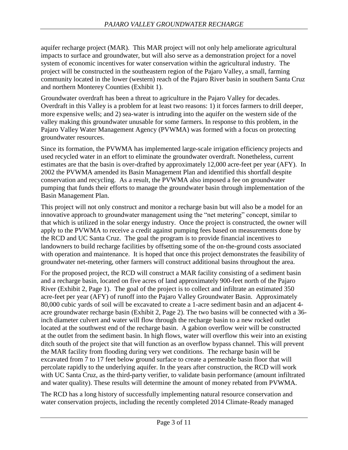aquifer recharge project (MAR). This MAR project will not only help ameliorate agricultural impacts to surface and groundwater, but will also serve as a demonstration project for a novel system of economic incentives for water conservation within the agricultural industry. The project will be constructed in the southeastern region of the Pajaro Valley, a small, farming community located in the lower (western) reach of the Pajaro River basin in southern Santa Cruz and northern Monterey Counties (Exhibit 1).

Groundwater overdraft has been a threat to agriculture in the Pajaro Valley for decades. Overdraft in this Valley is a problem for at least two reasons: 1) it forces farmers to drill deeper, more expensive wells; and 2) sea-water is intruding into the aquifer on the western side of the valley making this groundwater unusable for some farmers. In response to this problem, in the Pajaro Valley Water Management Agency (PVWMA) was formed with a focus on protecting groundwater resources.

Since its formation, the PVWMA has implemented large-scale irrigation efficiency projects and used recycled water in an effort to eliminate the groundwater overdraft. Nonetheless, current estimates are that the basin is over-drafted by approximately 12,000 acre-feet per year (AFY). In 2002 the PVWMA amended its Basin Management Plan and identified this shortfall despite conservation and recycling. As a result, the PVWMA also imposed a fee on groundwater pumping that funds their efforts to manage the groundwater basin through implementation of the Basin Management Plan.

This project will not only construct and monitor a recharge basin but will also be a model for an innovative approach to groundwater management using the "net metering" concept, similar to that which is utilized in the solar energy industry. Once the project is constructed, the owner will apply to the PVWMA to receive a credit against pumping fees based on measurements done by the RCD and UC Santa Cruz. The goal the program is to provide financial incentives to landowners to build recharge facilities by offsetting some of the on-the-ground costs associated with operation and maintenance. It is hoped that once this project demonstrates the feasibility of groundwater net-metering, other farmers will construct additional basins throughout the area.

For the proposed project, the RCD will construct a MAR facility consisting of a sediment basin and a recharge basin, located on five acres of land approximately 900-feet north of the Pajaro River (Exhibit 2, Page 1). The goal of the project is to collect and infiltrate an estimated 350 acre-feet per year (AFY) of runoff into the Pajaro Valley Groundwater Basin. Approximately 80,000 cubic yards of soil will be excavated to create a 1-acre sediment basin and an adjacent 4 acre groundwater recharge basin (Exhibit 2, Page 2). The two basins will be connected with a 36 inch diameter culvert and water will flow through the recharge basin to a new rocked outlet located at the southwest end of the recharge basin. A gabion overflow weir will be constructed at the outlet from the sediment basin. In high flows, water will overflow this weir into an existing ditch south of the project site that will function as an overflow bypass channel. This will prevent the MAR facility from flooding during very wet conditions. The recharge basin will be excavated from 7 to 17 feet below ground surface to create a permeable basin floor that will percolate rapidly to the underlying aquifer. In the years after construction, the RCD will work with UC Santa Cruz, as the third-party verifier, to validate basin performance (amount infiltrated and water quality). These results will determine the amount of money rebated from PVWMA.

The RCD has a long history of successfully implementing natural resource conservation and water conservation projects, including the recently completed 2014 Climate-Ready managed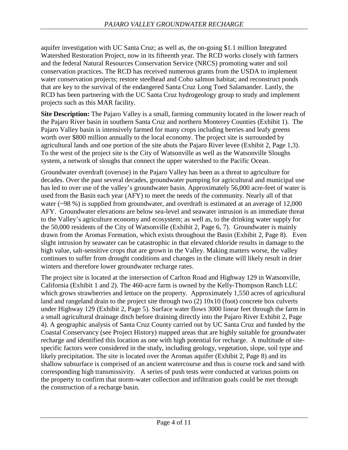aquifer investigation with UC Santa Cruz; as well as, the on-going \$1.1 million Integrated Watershed Restoration Project, now in its fifteenth year. The RCD works closely with farmers and the federal Natural Resources Conservation Service (NRCS) promoting water and soil conservation practices. The RCD has received numerous grants from the USDA to implement water conservation projects; restore steelhead and Coho salmon habitat; and reconstruct ponds that are key to the survival of the endangered Santa Cruz Long Toed Salamander. Lastly, the RCD has been partnering with the UC Santa Cruz hydrogeology group to study and implement projects such as this MAR facility.

**Site Description:** The Pajaro Valley is a small, farming community located in the lower reach of the Pajaro River basin in southern Santa Cruz and northern Monterey Counties (Exhibit 1). The Pajaro Valley basin is intensively farmed for many crops including berries and leafy greens worth over \$800 million annually to the local economy. The project site is surrounded by agricultural lands and one portion of the site abuts the Pajaro River levee (Exhibit 2, Page 1,3). To the west of the project site is the City of Watsonville as well as the Watsonville Sloughs system, a network of sloughs that connect the upper watershed to the Pacific Ocean.

Groundwater overdraft (overuse) in the Pajaro Valley has been as a threat to agriculture for decades. Over the past several decades, groundwater pumping for agricultural and municipal use has led to over use of the valley's groundwater basin. Approximately 56,000 acre-feet of water is used from the Basin each year (AFY) to meet the needs of the community. Nearly all of that water (~98 %) is supplied from groundwater, and overdraft is estimated at an average of 12,000 AFY. Groundwater elevations are below sea-level and seawater intrusion is an immediate threat to the Valley's agriculture economy and ecosystem; as well as, to the drinking water supply for the 50,000 residents of the City of Watsonville (Exhibit 2, Page 6, 7). Groundwater is mainly drawn from the Aromas Formation, which exists throughout the Basin (Exhibit 2, Page 8). Even slight intrusion by seawater can be catastrophic in that elevated chloride results in damage to the high value, salt-sensitive crops that are grown in the Valley. Making matters worse, the valley continues to suffer from drought conditions and changes in the climate will likely result in drier winters and therefore lower groundwater recharge rates.

The project site is located at the intersection of Carlton Road and Highway 129 in Watsonville, California (Exhibit 1 and 2). The 460-acre farm is owned by the Kelly-Thompson Ranch LLC which grows strawberries and lettuce on the property. Approximately 1,550 acres of agricultural land and rangeland drain to the project site through two (2) 10x10 (foot) concrete box culverts under Highway 129 (Exhibit 2, Page 5). Surface water flows 3000 linear feet through the farm in a small agricultural drainage ditch before draining directly into the Pajaro River Exhibit 2, Page 4). A geographic analysis of Santa Cruz County carried out by UC Santa Cruz and funded by the Coastal Conservancy (see Project History) mapped areas that are highly suitable for groundwater recharge and identified this location as one with high potential for recharge. A multitude of sitespecific factors were considered in the study, including geology, vegetation, slope, soil type and likely precipitation. The site is located over the Aromas aquifer (Exhibit 2, Page 8) and its shallow subsurface is comprised of an ancient watercourse and thus is course rock and sand with corresponding high transmissivity. A series of push tests were conducted at various points on the property to confirm that storm-water collection and infiltration goals could be met through the construction of a recharge basin.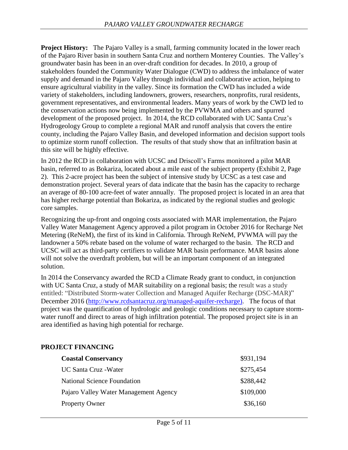**Project History:** The Pajaro Valley is a small, farming community located in the lower reach of the Pajaro River basin in southern Santa Cruz and northern Monterey Counties. The Valley's groundwater basin has been in an over-draft condition for decades. In 2010, a group of stakeholders founded the Community Water Dialogue (CWD) to address the imbalance of water supply and demand in the Pajaro Valley through individual and collaborative action, helping to ensure agricultural viability in the valley. Since its formation the CWD has included a wide variety of stakeholders, including landowners, growers, researchers, nonprofits, rural residents, government representatives, and environmental leaders. Many years of work by the CWD led to the conservation actions now being implemented by the PVWMA and others and spurred development of the proposed project. In 2014, the RCD collaborated with UC Santa Cruz's Hydrogeology Group to complete a regional MAR and runoff analysis that covers the entire county, including the Pajaro Valley Basin, and developed information and decision support tools to optimize storm runoff collection. The results of that study show that an infiltration basin at this site will be highly effective.

In 2012 the RCD in collaboration with UCSC and Driscoll's Farms monitored a pilot MAR basin, referred to as Bokariza, located about a mile east of the subject property (Exhibit 2, Page 2). This 2-acre project has been the subject of intensive study by UCSC as a test case and demonstration project. Several years of data indicate that the basin has the capacity to recharge an average of 80-100 acre-feet of water annually. The proposed project is located in an area that has higher recharge potential than Bokariza, as indicated by the regional studies and geologic core samples.

Recognizing the up-front and ongoing costs associated with MAR implementation, the Pajaro Valley Water Management Agency approved a pilot program in October 2016 for Recharge Net Metering (ReNeM), the first of its kind in California. Through ReNeM, PVWMA will pay the landowner a 50% rebate based on the volume of water recharged to the basin. The RCD and UCSC will act as third-party certifiers to validate MAR basin performance. MAR basins alone will not solve the overdraft problem, but will be an important component of an integrated solution.

In 2014 the Conservancy awarded the RCD a Climate Ready grant to conduct, in conjunction with UC Santa Cruz, a study of MAR suitability on a regional basis; the result was a study entitled: "Distributed Storm-water Collection and Managed Aquifer Recharge (DSC-MAR)" December 2016 [\(http://www.rcdsantacruz.org/managed-aquifer-recharge\)](http://www.rcdsantacruz.org/managed-aquifer-recharge). The focus of that project was the quantification of hydrologic and geologic conditions necessary to capture stormwater runoff and direct to areas of high infiltration potential. The proposed project site is in an area identified as having high potential for recharge.

### **PROJECT FINANCING**

| <b>Coastal Conservancy</b>            | \$931,194 |
|---------------------------------------|-----------|
| UC Santa Cruz - Water                 | \$275,454 |
| <b>National Science Foundation</b>    | \$288,442 |
| Pajaro Valley Water Management Agency | \$109,000 |
| <b>Property Owner</b>                 | \$36,160  |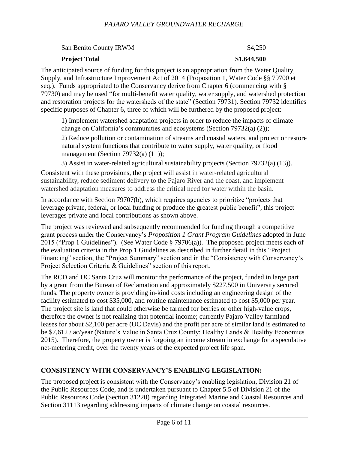San Benito County IRWM  $$4,250$ 

#### **Project Total** \$1,644,500

The anticipated source of funding for this project is an appropriation from the Water Quality, Supply, and Infrastructure Improvement Act of 2014 (Proposition 1, Water Code §§ 79700 et seq.). Funds appropriated to the Conservancy derive from Chapter 6 (commencing with § 79730) and may be used "for multi-benefit water quality, water supply, and watershed protection and restoration projects for the watersheds of the state" (Section 79731). Section 79732 identifies specific purposes of Chapter 6, three of which will be furthered by the proposed project:

1) Implement watershed adaptation projects in order to reduce the impacts of climate change on California's communities and ecosystems (Section 79732(a) (2));

2) Reduce pollution or contamination of streams and coastal waters, and protect or restore natural system functions that contribute to water supply, water quality, or flood management (Section 79732(a) (11));

3) Assist in water-related agricultural sustainability projects (Section 79732(a) (13)).

Consistent with these provisions, the project will assist in water-related agricultural sustainability, reduce sediment delivery to the Pajaro River and the coast, and implement watershed adaptation measures to address the critical need for water within the basin.

In accordance with Section 79707(b), which requires agencies to prioritize "projects that leverage private, federal, or local funding or produce the greatest public benefit", this project leverages private and local contributions as shown above.

The project was reviewed and subsequently recommended for funding through a competitive grant process under the Conservancy's *Proposition 1 Grant Program Guidelines* adopted in June 2015 ("Prop 1 Guidelines"). (See Water Code § 79706(a)). The proposed project meets each of the evaluation criteria in the Prop 1 Guidelines as described in further detail in this "Project Financing" section, the "Project Summary" section and in the "Consistency with Conservancy's Project Selection Criteria & Guidelines" section of this report.

The RCD and UC Santa Cruz will monitor the performance of the project, funded in large part by a grant from the Bureau of Reclamation and approximately \$227,500 in University secured funds. The property owner is providing in-kind costs including an engineering design of the facility estimated to cost \$35,000, and routine maintenance estimated to cost \$5,000 per year. The project site is land that could otherwise be farmed for berries or other high-value crops, therefore the owner is not realizing that potential income; currently Pajaro Valley farmland leases for about \$2,100 per acre (UC Davis) and the profit per acre of similar land is estimated to be \$7,612 / ac/year (Nature's Value in Santa Cruz County; Healthy Lands & Healthy Economies 2015). Therefore, the property owner is forgoing an income stream in exchange for a speculative net-metering credit, over the twenty years of the expected project life span.

# **CONSISTENCY WITH CONSERVANCY'S ENABLING LEGISLATION:**

The proposed project is consistent with the Conservancy's enabling legislation, Division 21 of the Public Resources Code, and is undertaken pursuant to Chapter 5.5 of Division 21 of the Public Resources Code (Section 31220) regarding Integrated Marine and Coastal Resources and Section 31113 regarding addressing impacts of climate change on coastal resources.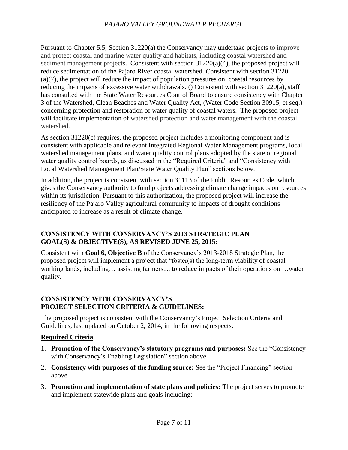Pursuant to Chapter 5.5, Section 31220(a) the Conservancy may undertake projects to improve and protect coastal and marine water quality and habitats, including coastal watershed and sediment management projects. Consistent with section 31220(a)(4), the proposed project will reduce sedimentation of the Pajaro River coastal watershed. Consistent with section 31220 (a)(7), the project will reduce the impact of population pressures on coastal resources by reducing the impacts of excessive water withdrawals. () Consistent with section 31220(a), staff has consulted with the State Water Resources Control Board to ensure consistency with Chapter 3 of the Watershed, Clean Beaches and Water Quality Act, (Water Code Section 30915, et seq.) concerning protection and restoration of water quality of coastal waters. The proposed project will facilitate implementation of watershed protection and water management with the coastal watershed.

As section 31220(c) requires, the proposed project includes a monitoring component and is consistent with applicable and relevant Integrated Regional Water Management programs, local watershed management plans, and water quality control plans adopted by the state or regional water quality control boards, as discussed in the "Required Criteria" and "Consistency with Local Watershed Management Plan/State Water Quality Plan" sections below.

In addition, the project is consistent with section 31113 of the Public Resources Code, which gives the Conservancy authority to fund projects addressing climate change impacts on resources within its jurisdiction. Pursuant to this authorization, the proposed project will increase the resiliency of the Pajaro Valley agricultural community to impacts of drought conditions anticipated to increase as a result of climate change.

#### **CONSISTENCY WITH CONSERVANCY'S 2013 STRATEGIC PLAN GOAL(S) & OBJECTIVE(S), AS REVISED JUNE 25, 2015:**

Consistent with **Goal 6, Objective B** of the Conservancy's 2013-2018 Strategic Plan, the proposed project will implement a project that "foster(s) the long-term viability of coastal working lands, including… assisting farmers.... to reduce impacts of their operations on …water quality.

#### **CONSISTENCY WITH CONSERVANCY'S PROJECT SELECTION CRITERIA & GUIDELINES:**

The proposed project is consistent with the Conservancy's Project Selection Criteria and Guidelines, last updated on October 2, 2014, in the following respects:

### **Required Criteria**

- 1. **Promotion of the Conservancy's statutory programs and purposes:** See the "Consistency with Conservancy's Enabling Legislation" section above.
- 2. **Consistency with purposes of the funding source:** See the "Project Financing" section above.
- 3. **Promotion and implementation of state plans and policies:** The project serves to promote and implement statewide plans and goals including: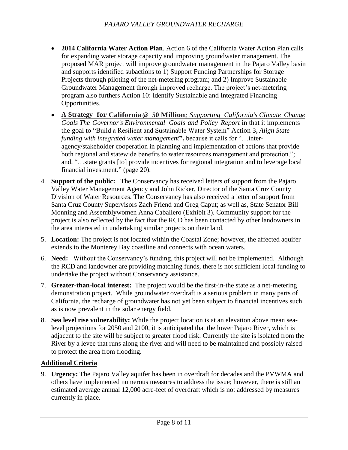- **2014 California Water Action Plan**. Action 6 of the California Water Action Plan calls for expanding water storage capacity and improving groundwater management. The proposed MAR project will improve groundwater management in the Pajaro Valley basin and supports identified subactions to 1) Support Funding Partnerships for Storage Projects through piloting of the net-metering program; and 2) Improve Sustainable Groundwater Management through improved recharge. The project's net-metering program also furthers Action 10: Identify Sustainable and Integrated Financing Opportunities.
- **A Strategy for California@ 50 Million***; Supporting California's Climate Change Goals The Governor's Environmental Goals and Policy Report* in that it implements the goal to "Build a Resilient and Sustainable Water System" Action 3**,** *Align State funding with integrated water management***",** because it calls for "…interagency/stakeholder cooperation in planning and implementation of actions that provide both regional and statewide benefits to water resources management and protection."; and, "…state grants [to] provide incentives for regional integration and to leverage local financial investment." (page 20).
- 4. **Support of the public:** The Conservancy has received letters of support from the Pajaro Valley Water Management Agency and John Ricker, Director of the Santa Cruz County Division of Water Resources. The Conservancy has also received a letter of support from Santa Cruz County Supervisors Zach Friend and Greg Caput; as well as, State Senator Bill Monning and Assemblywomen Anna Caballero (Exhibit 3). Community support for the project is also reflected by the fact that the RCD has been contacted by other landowners in the area interested in undertaking similar projects on their land.
- 5. **Location:** The project is not located within the Coastal Zone; however, the affected aquifer extends to the Monterey Bay coastline and connects with ocean waters.
- 6. **Need:** Without the Conservancy's funding, this project will not be implemented. Although the RCD and landowner are providing matching funds, there is not sufficient local funding to undertake the project without Conservancy assistance.
- 7. **Greater-than-local interest:** The project would be the first-in-the state as a net-metering demonstration project. While groundwater overdraft is a serious problem in many parts of California, the recharge of groundwater has not yet been subject to financial incentives such as is now prevalent in the solar energy field.
- 8. **Sea level rise vulnerability:** While the project location is at an elevation above mean sealevel projections for 2050 and 2100, it is anticipated that the lower Pajaro River, which is adjacent to the site will be subject to greater flood risk. Currently the site is isolated from the River by a levee that runs along the river and will need to be maintained and possibly raised to protect the area from flooding.

### **Additional Criteria**

9. **Urgency:** The Pajaro Valley aquifer has been in overdraft for decades and the PVWMA and others have implemented numerous measures to address the issue; however, there is still an estimated average annual 12,000 acre-feet of overdraft which is not addressed by measures currently in place.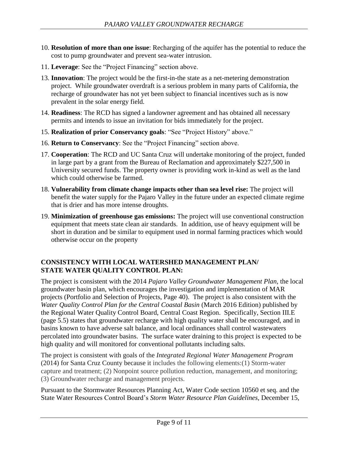- 10. **Resolution of more than one issue**: Recharging of the aquifer has the potential to reduce the cost to pump groundwater and prevent sea-water intrusion.
- 11. **Leverage**: See the "Project Financing" section above.
- 13. **Innovation**: The project would be the first-in-the state as a net-metering demonstration project. While groundwater overdraft is a serious problem in many parts of California, the recharge of groundwater has not yet been subject to financial incentives such as is now prevalent in the solar energy field.
- 14. **Readiness**: The RCD has signed a landowner agreement and has obtained all necessary permits and intends to issue an invitation for bids immediately for the project.
- 15. **Realization of prior Conservancy goals**: "See "Project History" above."
- 16. **Return to Conservancy**: See the "Project Financing" section above.
- 17. **Cooperation**: The RCD and UC Santa Cruz will undertake monitoring of the project, funded in large part by a grant from the Bureau of Reclamation and approximately \$227,500 in University secured funds. The property owner is providing work in-kind as well as the land which could otherwise be farmed.
- 18. **Vulnerability from climate change impacts other than sea level rise:** The project will benefit the water supply for the Pajaro Valley in the future under an expected climate regime that is drier and has more intense droughts.
- 19. **Minimization of greenhouse gas emissions:** The project will use conventional construction equipment that meets state clean air standards. In addition, use of heavy equipment will be short in duration and be similar to equipment used in normal farming practices which would otherwise occur on the property

### **CONSISTENCY WITH LOCAL WATERSHED MANAGEMENT PLAN/ STATE WATER QUALITY CONTROL PLAN:**

The project is consistent with the 2014 *Pajaro Valley Groundwater Management Plan*, the local groundwater basin plan, which encourages the investigation and implementation of MAR projects (Portfolio and Selection of Projects, Page 40). The project is also consistent with the *Water Quality Control Plan for the Central Coastal Basin* (March 2016 Edition) published by the Regional Water Quality Control Board, Central Coast Region. Specifically, Section III.E (page 5.5) states that groundwater recharge with high quality water shall be encouraged, and in basins known to have adverse salt balance, and local ordinances shall control wastewaters percolated into groundwater basins. The surface water draining to this project is expected to be high quality and will monitored for conventional pollutants including salts.

The project is consistent with goals of the *Integrated Regional Water Management Program* (2014) for Santa Cruz County because it includes the following elements:(1) Storm-water capture and treatment; (2) Nonpoint source pollution reduction, management, and monitoring; (3) Groundwater recharge and management projects.

Pursuant to the Stormwater Resources Planning Act, Water Code section 10560 et seq. and the State Water Resources Control Board's *Storm Water Resource Plan Guidelines,* December 15,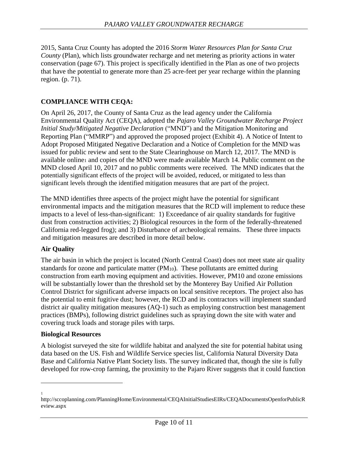2015, Santa Cruz County has adopted the 2016 *Storm Water Resources Plan for Santa Cruz County* (Plan), which lists groundwater recharge and net metering as priority actions in water conservation (page 67). This project is specifically identified in the Plan as one of two projects that have the potential to generate more than 25 acre-feet per year recharge within the planning region. (p. 71).

# **COMPLIANCE WITH CEQA:**

On April 26, 2017, the County of Santa Cruz as the lead agency under the California Environmental Quality Act (CEQA), adopted the *Pajaro Valley Groundwater Recharge Project Initial Study/Mitigated Negative Declaration* ("MND") and the Mitigation Monitoring and Reporting Plan ("MMRP") and approved the proposed project (Exhibit 4). A Notice of Intent to Adopt Proposed Mitigated Negative Declaration and a Notice of Completion for the MND was issued for public review and sent to the State Clearinghouse on March 12, 2017. The MND is available online<sup>1</sup> and copies of the MND were made available March 14. Public comment on the MND closed April 10, 2017 and no public comments were received. The MND indicates that the potentially significant effects of the project will be avoided, reduced, or mitigated to less than significant levels through the identified mitigation measures that are part of the project.

The MND identifies three aspects of the project might have the potential for significant environmental impacts and the mitigation measures that the RCD will implement to reduce these impacts to a level of less-than-significant: 1) Exceedance of air quality standards for fugitive dust from construction activities; 2) Biological resources in the form of the federally-threatened California red-legged frog); and 3) Disturbance of archeological remains. These three impacts and mitigation measures are described in more detail below.

### **Air Quality**

The air basin in which the project is located (North Central Coast) does not meet state air quality standards for ozone and particulate matter  $(PM_{10})$ . These pollutants are emitted during construction from earth moving equipment and activities. However, PM10 and ozone emissions will be substantially lower than the threshold set by the Monterey Bay Unified Air Pollution Control District for significant adverse impacts on local sensitive receptors. The project also has the potential to emit fugitive dust; however, the RCD and its contractors will implement standard district air quality mitigation measures (AQ-1) such as employing construction best management practices (BMPs), following district guidelines such as spraying down the site with water and covering truck loads and storage piles with tarps.

### **Biological Resources**

A biologist surveyed the site for wildlife habitat and analyzed the site for potential habitat using data based on the US. Fish and Wildlife Service species list, California Natural Diversity Data Base and California Native Plant Society lists. The survey indicated that, though the site is fully developed for row-crop farming, the proximity to the Pajaro River suggests that it could function

 $\overline{a}$ 1

http://sccoplanning.com/PlanningHome/Environmental/CEQAInitialStudiesEIRs/CEQADocumentsOpenforPublicR eview.aspx